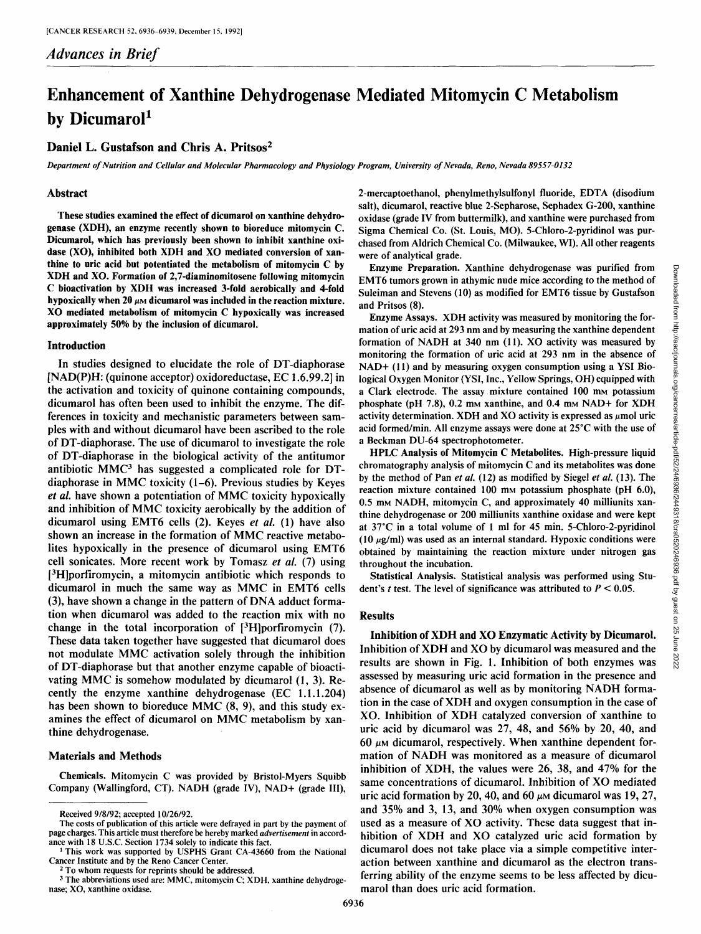# **Enhancement of Xanthine Dehydrogenase Mediated Mitomycin C Metabolism**  by Dicumarol<sup>1</sup>

# **Daniel L. Gustafson and Chris A. Pritsos 2**

*Department of Nutrition and Cellular and Molecular Pharmacology and Physiology Program, University of Nevada, Reno, Nevada 8955 7-0132* 

### **Abstract**

**These studies examined the effect of dicumarol on xanthine dehydrogenase (XDH), an enzyme recently shown to bioreduce mitomycin C. Dicumarol, which has previously been shown to inhibit xanthine oxidase (XO), inhibited both XDH and XO mediated conversion of xanthine to uric acid but potentiated the metabolism of mitomycin C by XDH and XO. Formation of 2,7-diaminomitosene following mitomycin C bioactivation by XDH was increased 3-fold aerobically and 4-fold**  hypoxically when  $20 \mu$ M dicumarol was included in the reaction mixture. **XO mediated metabolism of mitomycin C hypoxically was increased approximately 50% by the inclusion of dicumarol.** 

#### **Introduction**

In studies designed to elucidate the role of DT-diaphorase [NAD(P)H: (quinone acceptor) oxidoreductase, EC 1.6.99.2] in the activation and toxicity of quinone containing compounds, dicumarol has often been used to inhibit the enzyme. The differences in toxicity and mechanistic parameters between samples with and without dicumarol have been ascribed to the role of DT-diaphorase. The use of dicumarol to investigate the role of DT-diaphorase in the biological activity of the antitumor antibiotic  $MMC<sup>3</sup>$  has suggested a complicated role for DTdiaphorase in MMC toxicity (1-6). Previous studies by Keyes *et al.* have shown a potentiation of MMC toxicity hypoxically and inhibition of MMC toxicity aerobically by the addition of dicumarol using EMT6 cells (2). Keyes *et al.* (1) have also shown an increase in the formation of MMC reactive metabolites hypoxically in the presence of dicumarol using EMT6 cell sonicates. More recent work by Tomasz *et al.* (7) using [3H]porfiromycin, a mitomycin antibiotic which responds to dicumarol in much the same way as MMC in EMT6 cells (3), have shown a change in the pattern of DNA adduct formation when dicumarol was added to the reaction mix with no change in the total incorporation of  $[3H]$ porfiromycin (7). These data taken together have suggested that dicumarol does not modulate MMC activation solely through the inhibition of DT-diaphorase but that another enzyme capable of bioactivating MMC is somehow modulated by dicumarol (1, 3). Recently the enzyme xanthine dehydrogenase (EC 1.1.1.204) has been shown to bioreduce MMC (8, 9), and this study examines the effect of dicumarol on MMC metabolism by xanthine dehydrogenase.

## **Materials and Methods**

**Chemicals.** Mitomycin C was provided by Bristol-Myers Squibb Company (Wallingford, CT). NADH (grade IV), NAD+ (grade III),

2-mercaptoethanol, phenylmethylsulfonyl fluoride, EDTA (disodium salt), dicumarol, reactive blue 2-Sepharose, Sephadex G-200, xanthine oxidase (grade IV from buttermilk), and xanthine were purchased from Sigma Chemical Co. (St. Louis, MO). 5-Chloro-2-pyridinol was purchased from Aldrich Chemical Co. (Milwaukee, WI). All other reagents were of analytical grade.

**Enzyme Preparation.** Xanthine dehydrogenase was purified from EMT6 tumors grown in athymic nude mice according to the method of Suleiman and Stevens (10) as modified for EMT6 tissue by Gustafson and Pritsos (8).

**Enzyme Assays.** XDH activity was measured by monitoring the formation of uric acid at 293 nm and by measuring the xanthine dependent formation of NADH at 340 nm (11). XO activity was measured by monitoring the formation of uric acid at 293 nm in the absence of NAD+ (11) and by measuring oxygen consumption using a YSI Biological Oxygen Monitor (YSI, Inc., Yellow Springs, OH) equipped with a Clark electrode. The assay mixture contained 100 mm potassium phosphate (pH  $7.8$ ), 0.2 mm xanthine, and 0.4 mm NAD+ for XDH activity determination. XDH and XO activity is expressed as  $\mu$ mol uric acid formed/min. All enzyme assays were done at 25°C with the use of a Beckman DU-64 spectrophotometer.

HPLC **Analysis of Mitomycin C Metabolites.** High-pressure liquid chromatography analysis of mitomycin C and its metabolites was done by the method of Pan *et al.* (12) as modified by Siegel *et aL* (13). The reaction mixture contained 100 mm potassium phosphate (pH 6.0), 0.5 mm NADH, mitomycin C, and approximately 40 milliunits xanthine dehydrogenase or 200 milliunits xanthine oxidase and were kept at 37°C in a total volume of 1 ml for 45 min. 5-Chloro-2-pyridinol (10  $\mu$ g/ml) was used as an internal standard. Hypoxic conditions were obtained by maintaining the reaction mixture under nitrogen gas throughout the incubation.

**Statistical Analysis.** Statistical analysis was performed using Student's t test. The level of significance was attributed to  $P < 0.05$ .

#### **Results**

**Inhibition of XDH and XO Enzymatic Activity by Dicumarol.**  Inhibition of XDH and XO by dicumarol was measured and the results are shown in Fig. 1. Inhibition of both enzymes was assessed by measuring uric acid formation in the presence and absence of dicumarol as well as by monitoring NADH formation in the case of XDH and oxygen consumption in the case of XO. Inhibition of XDH catalyzed conversion of xanthine to uric acid by dicumarol was 27, 48, and 56% by 20, 40, and  $60 \mu$ M dicumarol, respectively. When xanthine dependent formation of NADH was monitored as a measure of dicumarol inhibition of XDH, the values were 26, 38, and 47% for the same concentrations of dicumarol. Inhibition of XO mediated uric acid formation by 20, 40, and 60  $\mu$ M dicumarol was 19, 27, and 35% and 3, 13, and 30% when oxygen consumption was used as a measure of XO activity. These data suggest that inhibition of XDH and XO catalyzed uric acid formation by dicumarol does not take place via a simple competitive interaction between xanthine and dicumarol as the electron transferring ability of the enzyme seems to be less affected by dicumarol than does uric acid formation.

Received 9/8/92; accepted 10/26/92.

The costs of publication of this article were defrayed in part by the payment of page charges. This article must therefore be hereby marked *advertisement* in accordance with 18 U.S.C. Section 1734 solely to indicate this fact.

<sup>&</sup>lt;sup>1</sup> This work was supported by USPHS Grant CA-43660 from the National Cancer Institute and by the Reno Cancer Center.

To whom requests for reprints should be addressed.

<sup>3</sup> The abbreviations used are: MMC, mitomycin C; XDH, xanthine dehydrogenase; XO, xanthine oxidase.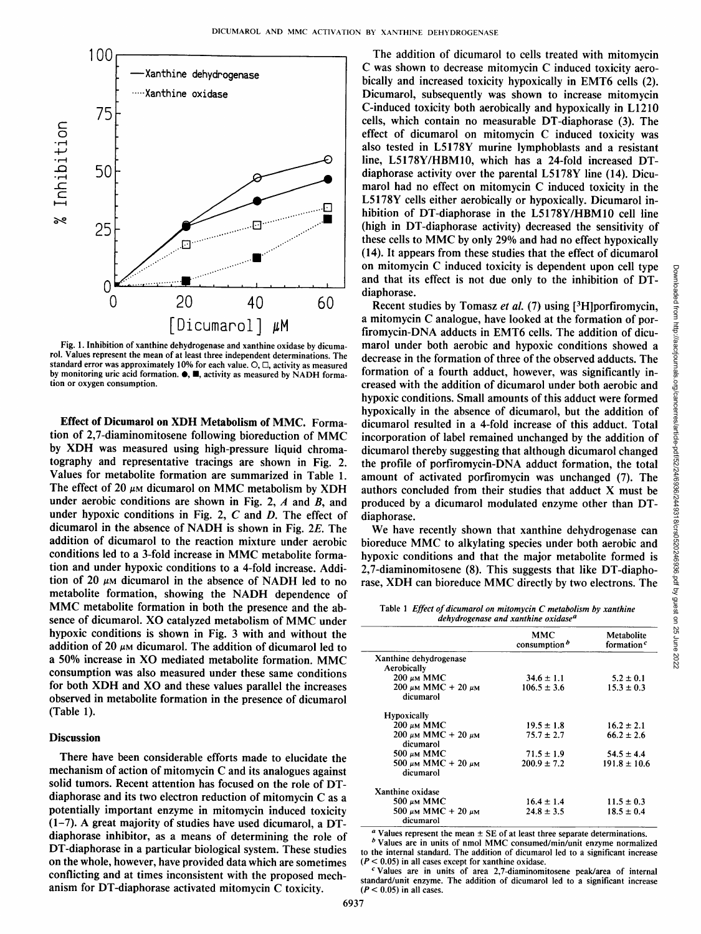

**Fig.** 1. Inhibition of xanthine dehydrogenase and xanthine oxidase by dicumarol. Values represent the mean of at least three independent determinations. The standard error was approximately 10% for each value.  $\bigcirc$ ,  $\Box$ , activity as measured by monitoring uric acid formation.  $\bullet$ ,  $\blacksquare$ , activity as measured by NADH formation or oxygen consumption.

**Effect of Dicumarol on XDH Metabolism of** MMC. Formation of 2,7-diaminomitosene following bioreduction of MMC by XDH was measured using high-pressure liquid chromatography and representative tracings are shown in Fig. 2. Values for metabolite formation are summarized in Table 1. The effect of 20  $\mu$ M dicumarol on MMC metabolism by XDH under aerobic conditions are shown in Fig. 2,  $A$  and  $B$ , and under hypoxic conditions in Fig. 2,  $C$  and  $D$ . The effect of dicumarol in the absence of NADH is shown in Fig. 2E. The addition of dicumarol to the reaction mixture under aerobic conditions led to a 3-fold increase in MMC metabolite formation and under hypoxic conditions to a 4-fold increase. Addition of 20  $\mu$ m dicumarol in the absence of NADH led to no metabolite formation, showing the NADH dependence of MMC metabolite formation in both the presence and the absence of dicumarol. XO catalyzed metabolism of MMC under hypoxic conditions is shown in Fig. 3 with and without the addition of 20  $\mu$ m dicumarol. The addition of dicumarol led to a 50% increase in XO mediated metabolite formation. MMC consumption was also measured under these same conditions for both XDH and XO and these values parallel the increases observed in metabolite formation in the presence of dicumarol (Table 1).

# **Discussion**

There have been considerable efforts made to elucidate the mechanism of action of mitomycin C and its analogues against solid tumors. Recent attention has focused on the role of DTdiaphorase and its two electron reduction of mitomycin C as a potentially important enzyme in mitomycin induced toxicity (1-7). A great majority of studies have used dicumarol, a DTdiaphorase inhibitor, as a means of determining the role of DT-diaphorase in a particular biological system. These studies on the whole, however, have provided data which are sometimes conflicting and at times inconsistent with the proposed mechanism for DT-diaphorase activated mitomycin C toxicity.

The addition of dicumarol to cells treated with mitomycin C was shown to decrease mitomycin C induced toxicity aerobically and increased toxicity hypoxically in EMT6 cells (2). Dicumarol, subsequently was shown to increase mitomycin C-induced toxicity both aerobically and hypoxically in L1210 cells, which contain no measurable DT-diaphorase (3). The effect of dicumarol on mitomycin C induced toxicity was also tested in L5178Y murine lymphoblasts and a resistant line, L5178Y/HBMI0, which has a 24-fold increased DTdiaphorase activity over the parental L5178Y line (14). Dicumarol had no effect on mitomycin C induced toxicity in the L5178Y cells either aerobically or hypoxically. Dicumarol inhibition of DT-diaphorase in the L5178Y/HBM10 cell line (high in DT-diaphorase activity) decreased the sensitivity of these cells to MMC by only 29% and had no effect hypoxically (14). It appears from these studies that the effect of dicumarol on mitomycin C induced toxicity is dependent upon cell type and that its effect is not due only to the inhibition of DTdiaphorase.

Recent studies by Tomasz et al. (7) using [<sup>3</sup>H]porfiromycin, a mitomycin C analogue, have looked at the formation of porfiromycin-DNA adducts in EMT6 cells. The addition of dicumarol under both aerobic and hypoxic conditions showed a decrease in the formation of three of the observed adducts. The formation of a fourth adduct, however, was significantly increased with the addition of dicumarol under both aerobic and hypoxic conditions. Small amounts of this adduct were formed hypoxically in the absence of dicumarol, but the addition of dicumarol resulted in a 4-fold increase of this adduct. Total incorporation of label remained unchanged by the addition of dicumarol thereby suggesting that although dicumarol changed the profile of porfiromycin-DNA adduct formation, the total amount of activated porfiromycin was unchanged (7). The authors concluded from their studies that adduct X must be produced by a dicumarol modulated enzyme other than DTdiaphorase.

We have recently shown that xanthine dehydrogenase can bioreduce MMC to alkylating species under both aerobic and hypoxic conditions and that the major metabolite formed is 2,7-diaminomitosene (8). This suggests that like DT-diaphorase, XDH can bioreduce MMC directly by two electrons. The

Table 1 *Effect of dicumarol on mitomycin C metabolism by xanthine*  dehydrogenase and xanthine oxidase<sup>4</sup>

|                                           | MMC<br>consumption <sup>b</sup> | Metabolite<br>formation $c$ |
|-------------------------------------------|---------------------------------|-----------------------------|
| Xanthine dehydrogenase<br>Aerobically     |                                 |                             |
| 200 им ММС                                | $34.6 \pm 1.1$                  | $5.2 \pm 0.1$               |
| 200 μm MMC + 20 μm<br>dicumarol           | $106.5 \pm 3.6$                 | $15.3 \pm 0.3$              |
| <b>Hypoxically</b>                        |                                 |                             |
| 200 им ММС                                | $19.5 \pm 1.8$                  | $16.2 \pm 2.1$              |
| 200 μm MMC + 20 μm<br>dicumarol           | $75.7 \pm 2.7$                  | $66.2 \pm 2.6$              |
| 500 µm MMC                                | $71.5 \pm 1.9$                  | $54.5 \pm 4.4$              |
| 500 им ММС + 20 им<br>dicumarol           | $200.9 \pm 7.2$                 | $191.8 \pm 10.6$            |
| Xanthine oxidase                          |                                 |                             |
| 500 µm MMC                                | $16.4 \pm 1.4$                  | $11.5 \pm 0.3$              |
| 500 $\mu$ m MMC + 20 $\mu$ m<br>dicumarol | $24.8 \pm 3.5$                  | $18.5 \pm 0.4$              |
| .                                         | .                               |                             |

Values represent the mean  $\pm$  SE of at least three separate determinations. Values are in units of nmol MMC consumed/min/unit enzyme normalized to the internal standard. The addition of dicumarol led to a significant increase  $(P < 0.05)$  in all cases except for xanthine oxidase.

c Values are in units of area 2,7-diaminomitosene peak/area of internal standard/unit enzyme. The addition of dicumarol led to a significant increase  $(P < 0.05)$  in all cases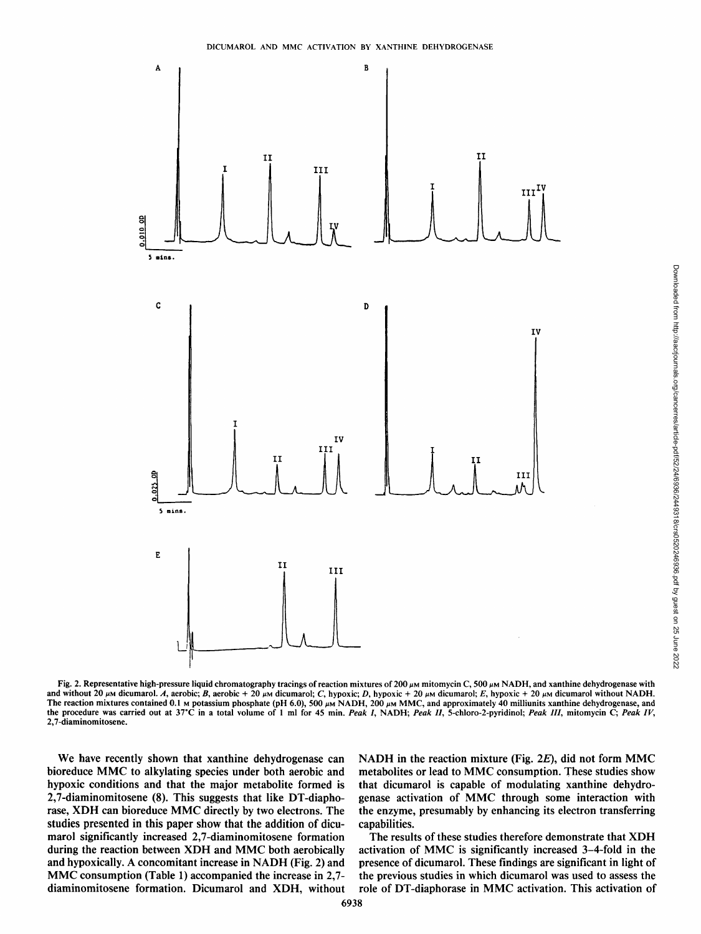

Fig. 2. Representative high-pressure liquid chromatography tracings of reaction mixtures of 200  $\mu$ m mitomycin C, 500  $\mu$ m NADH, and xanthine dehydrogenase with and without 20  $\mu$ M dicumarol. A, aerobic; B, aerobic + 20  $\mu$ M dicumarol; C, hypoxic; D, hypoxic + 20  $\mu$ M dicumarol; E, hypoxic + 20  $\mu$ M dicumarol without NADH. The reaction mixtures contained 0.1 M potassium phosphate (pH 6.0), 500  $\mu$ M NADH, 200  $\mu$ M MMC, and approximately 40 milliunits xanthine dehydrogenase, and the procedure was carried out at 37°C in a total volume of 1 ml for 45 min. Peak I, NADH; Peak II, 5-chloro-2-pyridinol; Peak III, mitomycin C; Peak IV, 2,7-diaminomitosene.

We have recently shown that xanthine dehydrogenase can bioreduce MMC to alkylating species under both aerobic and hypoxic conditions and that the major metabolite formed is 2,7-diaminomitosene (8). This suggests that like DT-diaphorase, XDH can bioreduce MMC directly by two electrons. The studies presented in this paper show that the addition of dicumarol significantly increased 2,7-diaminomitosene formation during the reaction between XDH and MMC both aerobically and hypoxically. A concomitant increase in NADH (Fig. 2) and MMC consumption (Table 1) accompanied the increase in 2,7 diaminomitosene formation. Dicumarol and XDH, without NADH in the reaction mixture (Fig. 2E), did not form MMC metabolites or lead to MMC consumption. These studies show that dicumarol is capable of modulating xanthine dehydrogenase activation of MMC through some interaction with the enzyme, presumably by enhancing its electron transferring capabilities.

The results of these studies therefore demonstrate that XDH activation of MMC is significantly increased 3-4-fold in the presence of dicumarol. These findings are significant in light of the previous studies in which dicumarol was used to assess the role of DT-diaphorase in MMC activation. This activation of